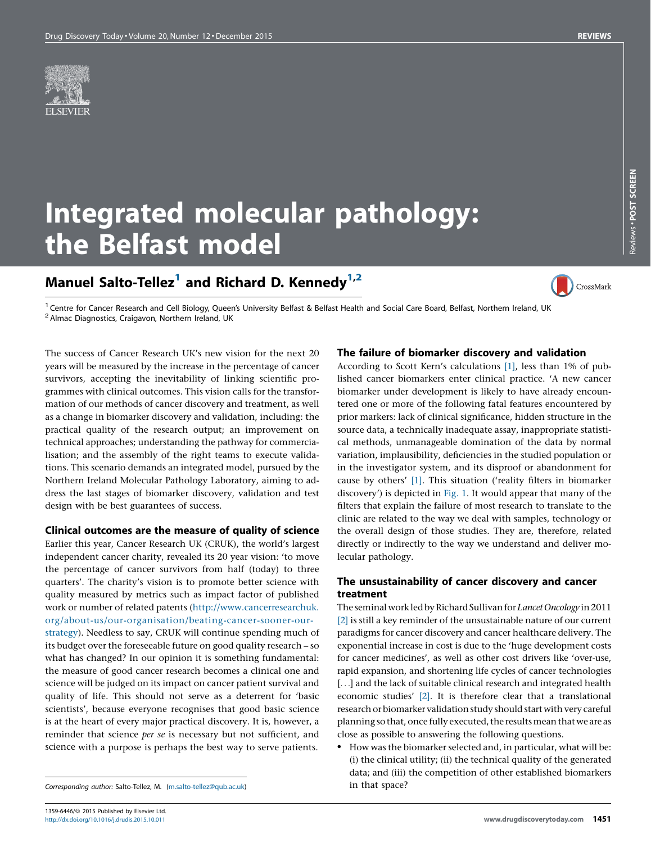

# Integrated molecular pathology: the Belfast model

# Manuel Salto-Tellez<sup>1</sup> and Richard D. Kennedy<sup>1,2</sup>

<sup>1</sup> Centre for Cancer Research and Cell Biology, Queen's University Belfast & Belfast Health and Social Care Board, Belfast, Northern Ireland, UK  $^2$  Almac Diagnostics, Craigavon, Northern Ireland, UK

The success of Cancer Research UK's new vision for the next 20 years will be measured by the increase in the percentage of cancer survivors, accepting the inevitability of linking scientific programmes with clinical outcomes. This vision calls for the transformation of our methods of cancer discovery and treatment, as well as a change in biomarker discovery and validation, including: the practical quality of the research output; an improvement on technical approaches; understanding the pathway for commercialisation; and the assembly of the right teams to execute validations. This scenario demands an integrated model, pursued by the Northern Ireland Molecular Pathology Laboratory, aiming to address the last stages of biomarker discovery, validation and test design with be best guarantees of success.

## Clinical outcomes are the measure of quality of science

Earlier this year, Cancer Research UK (CRUK), the world's largest independent cancer charity, revealed its 20 year vision: 'to move the percentage of cancer survivors from half (today) to three quarters'. The charity's vision is to promote better science with quality measured by metrics such as impact factor of published work or number of related patents [\(http://www.cancerresearchuk.](http://www.cancerresearchuk.org/about-us/our-organisation/beating-cancer-sooner-our-strategy) [org/about-us/our-organisation/beating-cancer-sooner-our](http://www.cancerresearchuk.org/about-us/our-organisation/beating-cancer-sooner-our-strategy)[strategy](http://www.cancerresearchuk.org/about-us/our-organisation/beating-cancer-sooner-our-strategy)). Needless to say, CRUK will continue spending much of its budget over the foreseeable future on good quality research – so what has changed? In our opinion it is something fundamental: the measure of good cancer research becomes a clinical one and science will be judged on its impact on cancer patient survival and quality of life. This should not serve as a deterrent for 'basic scientists', because everyone recognises that good basic science is at the heart of every major practical discovery. It is, however, a reminder that science per se is necessary but not sufficient, and science with a purpose is perhaps the best way to serve patients.

# The failure of biomarker discovery and validation

According to Scott Kern's calculations [\[1\]](#page-3-0), less than 1% of published cancer biomarkers enter clinical practice. 'A new cancer biomarker under development is likely to have already encountered one or more of the following fatal features encountered by prior markers: lack of clinical significance, hidden structure in the source data, a technically inadequate assay, inappropriate statistical methods, unmanageable domination of the data by normal variation, implausibility, deficiencies in the studied population or in the investigator system, and its disproof or abandonment for cause by others' [\[1\]](#page-3-0). This situation ('reality filters in biomarker discovery') is depicted in [Fig.](#page-1-0) 1. It would appear that many of the filters that explain the failure of most research to translate to the clinic are related to the way we deal with samples, technology or the overall design of those studies. They are, therefore, related directly or indirectly to the way we understand and deliver molecular pathology.

# The unsustainability of cancer discovery and cancer treatment

The seminal work led by Richard Sullivan for Lancet Oncology in 2011 [\[2\]](#page-3-0) is still a key reminder of the unsustainable nature of our current paradigms for cancer discovery and cancer healthcare delivery. The exponential increase in cost is due to the 'huge development costs for cancer medicines', as well as other cost drivers like 'over-use, rapid expansion, and shortening life cycles of cancer technologies [...] and the lack of suitable clinical research and integrated health economic studies' [\[2\].](#page-3-0) It is therefore clear that a translational research or biomarker validation study should start with very careful planning so that, once fully executed, the results mean that we are as close as possible to answering the following questions.

- How was the biomarker selected and, in particular, what will be: (i) the clinical utility; (ii) the technical quality of the generated data; and (iii) the competition of other established biomarkers in that space?

CrossMark

Corresponding author: Salto-Tellez, M. ([m.salto-tellez@qub.ac.uk](mailto:m.salto-tellez@qub.ac.uk))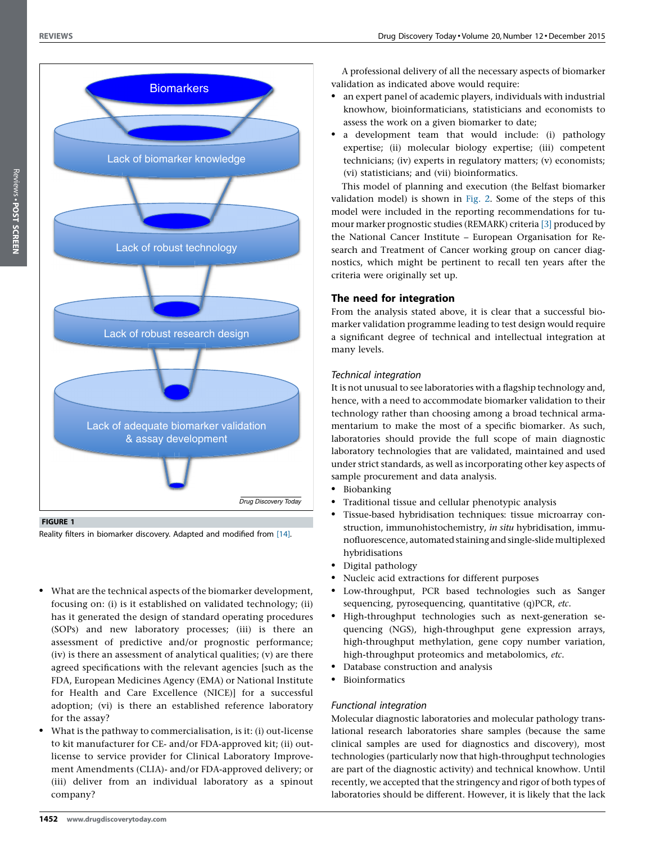<span id="page-1-0"></span>

Reality filters in biomarker discovery. Adapted and modified from [\[14\]](#page-3-0).

- What are the technical aspects of the biomarker development, focusing on: (i) is it established on validated technology; (ii) has it generated the design of standard operating procedures (SOPs) and new laboratory processes; (iii) is there an assessment of predictive and/or prognostic performance; (iv) is there an assessment of analytical qualities; (v) are there agreed specifications with the relevant agencies [such as the FDA, European Medicines Agency (EMA) or National Institute for Health and Care Excellence (NICE)] for a successful adoption; (vi) is there an established reference laboratory for the assay?
- What is the pathway to commercialisation, is it: (i) out-license to kit manufacturer for CE- and/or FDA-approved kit; (ii) outlicense to service provider for Clinical Laboratory Improvement Amendments (CLIA)- and/or FDA-approved delivery; or (iii) deliver from an individual laboratory as a spinout company?

A professional delivery of all the necessary aspects of biomarker validation as indicated above would require:

- an expert panel of academic players, individuals with industrial knowhow, bioinformaticians, statisticians and economists to assess the work on a given biomarker to date;
- a development team that would include: (i) pathology expertise; (ii) molecular biology expertise; (iii) competent technicians; (iv) experts in regulatory matters; (v) economists; (vi) statisticians; and (vii) bioinformatics.

This model of planning and execution (the Belfast biomarker validation model) is shown in [Fig.](#page-2-0) 2. Some of the steps of this model were included in the reporting recommendations for tumour marker prognostic studies (REMARK) criteria [\[3\]](#page-3-0) produced by the National Cancer Institute – European Organisation for Research and Treatment of Cancer working group on cancer diagnostics, which might be pertinent to recall ten years after the criteria were originally set up.

# The need for integration

From the analysis stated above, it is clear that a successful biomarker validation programme leading to test design would require a significant degree of technical and intellectual integration at many levels.

# Technical integration

It is not unusual to see laboratories with a flagship technology and, hence, with a need to accommodate biomarker validation to their technology rather than choosing among a broad technical armamentarium to make the most of a specific biomarker. As such, laboratories should provide the full scope of main diagnostic laboratory technologies that are validated, maintained and used under strict standards, as well as incorporating other key aspects of sample procurement and data analysis.

- Biobanking
- Traditional tissue and cellular phenotypic analysis
- - Tissue-based hybridisation techniques: tissue microarray construction, immunohistochemistry, in situ hybridisation, immunofluorescence, automated staining and single-slide multiplexed hybridisations
- Digital pathology
- Nucleic acid extractions for different purposes
- $\bullet$  Low-throughput, PCR based technologies such as Sanger sequencing, pyrosequencing, quantitative (q)PCR, etc.
- $\bullet$  High-throughput technologies such as next-generation sequencing (NGS), high-throughput gene expression arrays, high-throughput methylation, gene copy number variation, high-throughput proteomics and metabolomics, etc.
- Database construction and analysis
- Bioinformatics

# Functional integration

Molecular diagnostic laboratories and molecular pathology translational research laboratories share samples (because the same clinical samples are used for diagnostics and discovery), most technologies (particularly now that high-throughput technologies are part of the diagnostic activity) and technical knowhow. Until recently, we accepted that the stringency and rigor of both types of laboratories should be different. However, it is likely that the lack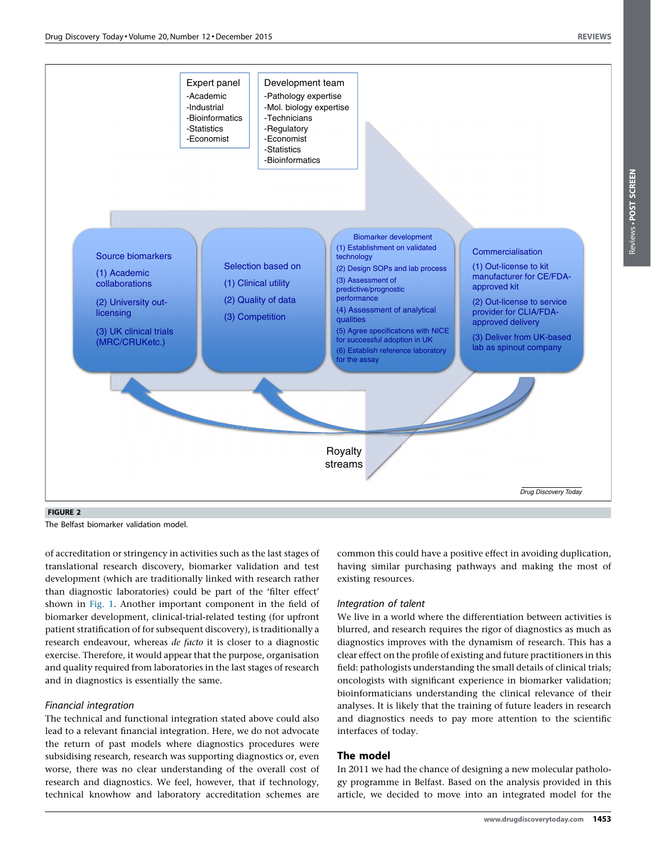Reviews -

Reviews . POST SCREEN POST SCREEN

<span id="page-2-0"></span>

The Belfast biomarker validation model.

of accreditation or stringency in activities such as the last stages of translational research discovery, biomarker validation and test development (which are traditionally linked with research rather than diagnostic laboratories) could be part of the 'filter effect' shown in [Fig.](#page-1-0) 1. Another important component in the field of biomarker development, clinical-trial-related testing (for upfront patient stratification of for subsequent discovery), is traditionally a research endeavour, whereas de facto it is closer to a diagnostic exercise. Therefore, it would appear that the purpose, organisation and quality required from laboratories in the last stages of research and in diagnostics is essentially the same.

### Financial integration

The technical and functional integration stated above could also lead to a relevant financial integration. Here, we do not advocate the return of past models where diagnostics procedures were subsidising research, research was supporting diagnostics or, even worse, there was no clear understanding of the overall cost of research and diagnostics. We feel, however, that if technology, technical knowhow and laboratory accreditation schemes are

common this could have a positive effect in avoiding duplication, having similar purchasing pathways and making the most of existing resources.

#### Integration of talent

We live in a world where the differentiation between activities is blurred, and research requires the rigor of diagnostics as much as diagnostics improves with the dynamism of research. This has a clear effect on the profile of existing and future practitioners in this field: pathologists understanding the small details of clinical trials; oncologists with significant experience in biomarker validation; bioinformaticians understanding the clinical relevance of their analyses. It is likely that the training of future leaders in research and diagnostics needs to pay more attention to the scientific interfaces of today.

### The model

In 2011 we had the chance of designing a new molecular pathology programme in Belfast. Based on the analysis provided in this article, we decided to move into an integrated model for the